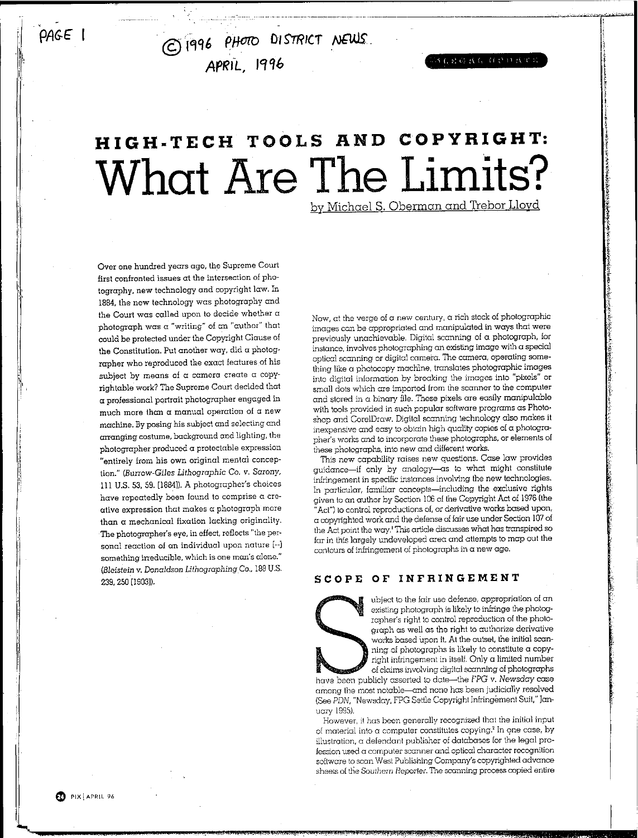*PAGE* I

, " © 'IC!jQ6 *PHOID* 0,STRICT NfU,lS'. **APRIL, 1996** 

**SERGRETO DRU** 

# **HIGH.TECH TOOLS RND COPYRIGHT: What Are The Limits?**

by Michael S, Oberman and Trebor Lloyd

Over one hundred years ago, the Supreme Court first confronted issues at the intersection of photography. new technology and copyright law. In 1884, the new technology was photography and the Court was called upon to decide whether a photograph was a "writing" of an "author" that could be protected under the Copyright Clause of the Constitution. Put another way, did a photoqrapher who reproduced the exact features of his subject by means of a camera create a copyrightable work? The Supreme Court decided that a professional portrait photographer engaged in much more than a manual operation of a new machine. By posing his subject and selecting and arranging costume, background and lighting, the photographer produced a protectable expression "entirely from his own original mental conception." *(Burrow-Giles Lithographic* Co. *v.* Sarony, III U.S. 53, 59. [1884]). A photographer's choices have repeatedly been found to comprise a creative expression that makes a photograph more than a mechanical fixation lacking originality. The photographer's eye, in effect, reflects "the personal reaction of an individual upon nature [--] something irreducible, which is one man's alone." (Eleistein v. *Donaldson UthographingCo.,* 188U.S. 239,250[1903]).

Now, at the verge of a new century, a rich stock of photographic images can be appropriated and manipulated in ways that were previously unachievable. Digital scanning of a photograph, for instance, involves photographing an existing image with a special optical scanning or digital camera. The camera, operating something like a photocopy machine, translates photographic images into digital information by breaking the images into "pixels" or small dots which are imported from the scanner to the computer and stored in a binary file. These pixels are easily manipulable with tools provided in such popular software programs as Photoshop and CorelDraw. Digital scanning technology also makes it inexpensive and easy to obtain high quality copies of a photographer's works and to incorporate these photographs, or elements of these photographs, into new and different works.

This new capability raises new questions. Case law provides guidance-if only by analogy-as to what might constitute infringement in specific instances involving the new technologies. In particular, familiar concepts-including the exclusive rights given to an author by Section 106 of the Copyright Act of 1976 (the "Act") to control reproductions of, or derivative works based upon, a copyrighted work and the defense offair use under Section 107of the Act point the way, <sup>I</sup> This article discusses what has transpired so far in this largely undeveloped area and attempts to map out the contours of infringement of photographs in a new age.

### SCOPE OF INFRINGEMENT

ubject to the fair use defense, appropriation of an existing photograph is likely to infringe the photographer's right to control reproduction of the photograph as well as the right to authorize derivative works based upon it. At the outset, the initial scanning of photographs is likely to constitute a copyright infringement in itself. Only a limited number of claims involving digital scanning of photographs

have been publicly asserted to date-the FPG v. Newsday case among the most notable-and none has been judicially resolved (See PDN, "Newsday, FPG Settle Copyright Infringement Suit," January 1995).

However, it has been generally recognized that the initial input of material into a computer constitutes copying.<sup>2</sup> In one case, by illustration, a defendant publisher of databases for the legal profession used a computer scanner and optical character recognition software to scan West Publishing Company's copyrighted advance sheets of the *Southern Reporter*. The scanning process copied entire

G) PIX I APRtL <sup>96</sup>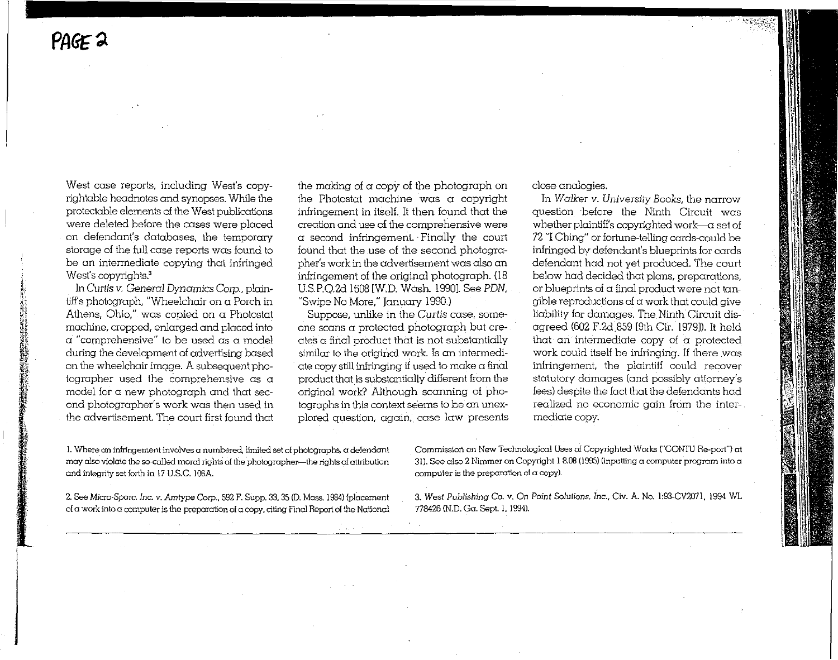'~

, $\sim$ 

if', <u>()</u>

~~I ~" i **:}** '", ~~'

'!

 $;$ **1L** i~ **IIat**

West case reports, including West's copyrightable headnotes and synopses, While the protectable elements of the West publications were deleted before the cases were placed on defendant's databases, the temporary storage of the full case reports was found to be an intermediate copying that infringed West's copyrights.<sup>3</sup>

In Curtis v. General Dynamics Corp., plaintiff's photograph, "Wheelchair on a Porch in Athens, Ohio," was copied on  $\alpha$  Photostat machine, cropped, enlarged and placed into a "comprehensive" to be used as a model during the development of advertising based on the wheelchair imcqe. A subsequent photographer used the comprehensive as a model for a new photograph and that second photographer's work was then used in the advertisement The court first found that the making of  $\alpha$  copy of the photograph on the Photostat machine was a copyright infringement in itself, It then found that the **creation and use of the comprehensive were**  $\alpha$  second infringement. Finally the court found that the use of the second photographer's work in the advertisement was also an infringement of the original photograph. (18) US,P,Q,2cl1608 [WD. Wash, 1990]. See PDN, "Swipe No More," january 1990,)

Suppose, unlike in the Curtis case, someone scans a protected photograph but creates a final product that is not substantially similar to the original work. Is an intermediate copy still infringing if used to make a final product that is substantially different from the original work? Although scanning of photographs in this context seems to be an unexplored question, again, case law presents close analogies,

In *Walker* v, University *Books,* the narrow question before the Ninth Circuit was whether plaintiff's copyrighted work- $-\alpha$  set of 72 "IChing" or fortune-telling cards-could be infringed by defendant's blueprints for cards defendant had not yet produced, The court below had decided that plans, preparations, or blueprints of  $\alpha$  final product were not tan $q$ ible reproductions of  $\alpha$  work that could give liability for damages, The Ninth Circuit disagreed (602 F.2d 859 [9th Cir. 1979]), It held that an intermediate copy of a protected work could itself be infringing, lf there was infringement, the plaintiff could recover statutory damages (and possibly attorney's fees) despite the fact that the defendants had realized no economic gain from the intermediate copy,

**1.Where an infringement involves a numbered. limited set of photographs, a defendant may also violate theso-called moral** riqhts **of** thephotoqrcrpher-cthe **rights ofattribution** and integrity set forth in 17 U.S.C. 106A.

2,SeeMicro-Spare,*Inc,* v. Amtype Corp" 592F, Supp. 33,3510.Mass, 1984) {placement **ofa work intoa computeris the preparation ofa copy.citingFinal Reportof the National**

**Commission** on New Technological Uses of Copyrighted Works ("CONTU Re-port") at **31). See also 2 Nimmer on Copyright 18.08 (199S) (inputting a** computer program **into a computer is the preparation of a copy).**

*3. West Publishing* **Co.** v. **On Point Solutions.** *Inc.,* Ctv. **A. No. 1:93-CV2071, 1994 WL** 778426 (N.D. Ga. Sept. 1, 1994).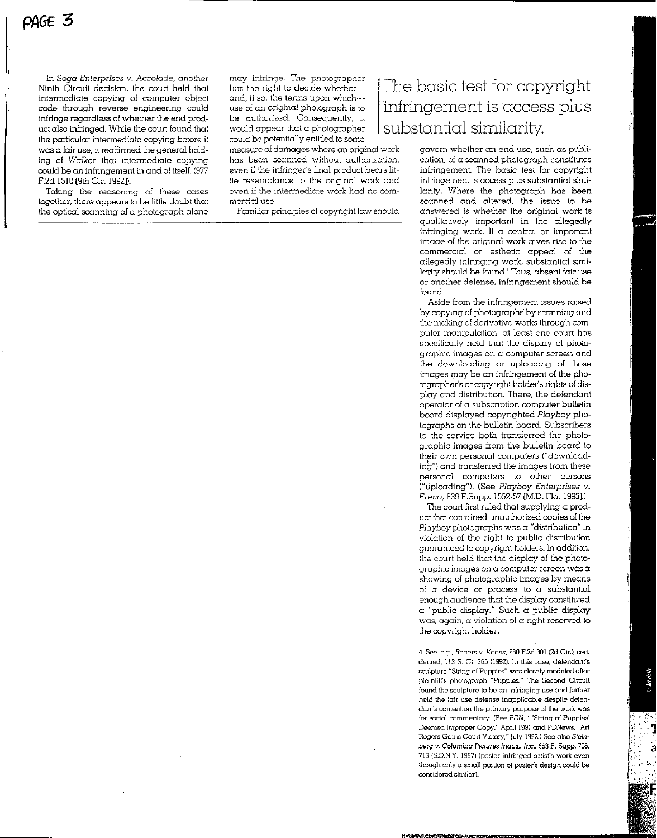In *Sega Enterprises* v. *Accolade,* another Ninth Circuit decision, the court held that intermediate copying of computer object code through reverse engineering could infringe regardless of whether the end product also infringed. While the court found that the particular intermediate copying before it was a fair use, it reaffirmed the general holding of *Walker* that intermediate copying could be an infringement in and of itself. (977 F.2d 1510 [9th Cir. 1992]).

Taking the reasoning of these cases together, there appears to be little doubt that the optical scanning of a photograph alone may infringe. The photographer has the right to decide whetherand, if so, the terms upon whichuse of an original photograph is to be authorized. Consequently, it would appear that a photographer could be potentially entitled to some

measure of damages where an original work has been scanned without authorization, even if the infringer's final product bears little resemblance to the original work and even if the intermediate work had no commercial use.

Familiar principles of copyright law should

### The basic test for copyright infringement is access plus substantial similarity.

govern whether an end use, such as publication, of a scanned photograph constitutes infringement. The basic test for copyright infringement is access plus substantial similarity, Where the photograph has been scanned and altered, the issue to be answered is whether the original work is qualitatively important in the allegedly infringing work. If  $\alpha$  central or important image of the original work gives rise to the commercial or esthetic appeal of the allegedly infringing work, substantial similarity should be Iound.' Thus, absent fair use or another defense, infringement should be found.

Aside from the infringement issues raised by copying of photographs' by scanning and the making of derivative works through computer manipulation, at least one court has specifically held that the display of photographic images on a computer screen and the downloading or uploading of those images may be an infringement of the photographer's or copyright holder's rights of display and distribution, There, the defendant operator of a subscription computer bulletin board displayed copyrighted *Playboy* photographs on the bulletin board. Subscribers to the service both transferred the photographic images from the bulletin board to their own personal computers ("downloading") and transferred the images from these personal computers to other persons ("uploading"), (See *Playboy* Enterprises v. Frena, 839 F.Supp. 1552-57 [M.D. Fla. 1993].)

The court first ruled that supplying a product that contained unauthorized copies of the *Playboy* photographs was a "distribution" in violation of the right to public distribution guaranteed to copyright holders. In addition. the court held that the display of the photographic images on a computer screen was a showing of photographic images by means of a device or process to a substantial enough audience that the display constituted  $\alpha$  "public display." Such  $\alpha$  public display was, again, a violation of  $\alpha$  right reserved to the copyright holder.

4. See. e.c., Rogers *v,* Koons, 960 F.2d 301 (2d. Ctr.), cert, denied, 113 S. Ct. 365 (1992). In this case, delendant's sculpture "String of Puppies" was closely modeled after plainlifl's photograph "Puppies," The Second Circuit found the sculpture to be an infringing use and further held the fair use defense inapplicable despite defendant's contention the primary purpose ol the work was for social commentary. (See PDN, " 'String of Puppies' Deemed Improper Copy," April 1991and PDNews, "Art Rogers Gains Court Victory," July 1992.) See also Steinberg v. Columbia Pic/ures *Indus..* Inc., 663 F, Supp. 706, 713 (SD.N.Y. 19S7)(poster infringed artist's work even though only a small portion of poster's design could be considered similar).

 $\label{eq:R1} \frac{1}{2}\frac{1}{2}\frac{1}{2}\frac{1}{2}\frac{1}{2}\frac{1}{2}\frac{1}{2}\frac{1}{2}\frac{1}{2}\frac{1}{2}\frac{1}{2}\frac{1}{2}\frac{1}{2}\frac{1}{2}\frac{1}{2}\frac{1}{2}\frac{1}{2}\frac{1}{2}\frac{1}{2}\frac{1}{2}\frac{1}{2}\frac{1}{2}\frac{1}{2}\frac{1}{2}\frac{1}{2}\frac{1}{2}\frac{1}{2}\frac{1}{2}\frac{1}{2}\frac{1}{2}\frac{1}{2}\frac{1}{2}\frac{1}{2}\frac{1}{2}\frac{1}{2}\frac$ 

-. ,.~:.

 $\bullet$  Art Halle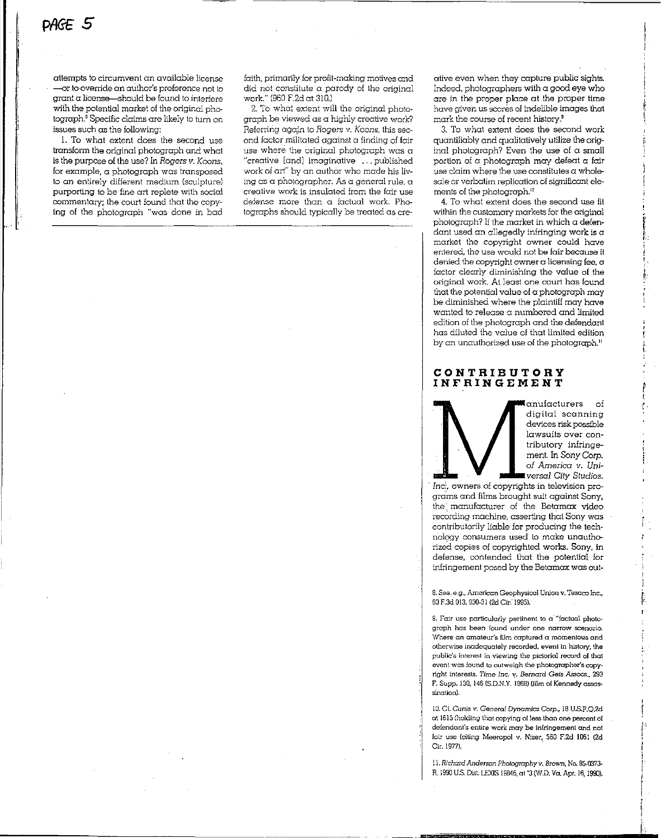attempts to circumvent an available license -or to override an author's preference not to  $\alpha$  arant  $\alpha$  license—should be found to interfere with the potential market of the original photograph.<sup>8</sup> Specific claims are likely to turn on issues such as the following;

1. To what extent does the second use transform the original photograph and what is the purpose of the use? In *Rogers v. Koons,* for example, a photograph was transposed to an entirely different medium (sculpture) purporting to be fine art replete with social commentary; the court found that the copying of the photograph "was done in bad

faith, primarily for profit-making motives and did not constitute  $\alpha$  parody of the original work." (960 F.2d at 310.)

2. To what extent will the original photograph be viewed as a highly creative work? Referring agqin to Rogers v. *Koons,* this second factor militated against a finding of fair use where the original photograph was a "creative [and] imaginative ... published work of art" by an author who made his living as a photographer: As a general rule,  $\alpha$ creative work is insulated from the fair use defense more than a factual work. Photographs should typically be treated as ereative even when they capture public sights. Indeed, photographers with a good eye who are in the proper place at the proper time have given us scores of indelible images that mark the course of recent history."

3. To what extent does the second work quantiliably and qualitatively utilize the original photograph? Even the use of a small portion of a photograph may defeat a fair use claim where the use constitutes a wholesale or verbatim replication of significant elements of the photograph.<sup>10</sup>

4. To what extent does the second use fit within the customary markets for the original photograph? If the market in which a defendant used an allegedly infringing work is a market the copyright owner could have entered, the use would not be fair because it denied the copyright owner a licensing fee, a factor clearly diminishing the value of the original work. At least one court has found that the potential value of a photograph may be diminished where the plaintiff may have wanted to release a numbered and limited edition of the photograph and the defendant has diluted the value of that limited edition by an unauthorized use of the photograph."

#### CONTRIBUTORY INFRINGEMENT

anufacturers of digital scanning devices risk possible lawsuits over contributory infringement. In *Sony Corp.* of America v. Uni*versal City* Studios. r I

r

 $\ddot{\phantom{1}}$ 

i !

r  $\overline{\phantom{a}}$ j

*Inc!'* owners of copyrights in television programs and films brought suit against Sony, the: manufacturer of the Betamax video recording machine, asserting that Sony was contributorily liable for producing the technolccy consumers used to make unauthorized copies of copyrighted works. Sony, in defense, contended that the potential for infringement posed by the Betamax was out-

8. See. e.g., American Geophysical Union v. Texaco Inc., 60F.3d 913,930-31(2d.Ctr. 1995).

9. Fair use particularly pertinent to a' "factual photograph has been found under one narrow scenario. Where an amateur's film captured a momentous and otherwise inadequately recorded, event in history, the public's interest in viewing the pictorial record of that event was found to outweigh the photographer's copyright interests. Time Inc. v. Bernard Geis Assocs., 293 F. Supp. 130, 146 (S.D.N.Y. 1968) (film of Kennedy assassination).

10.Cf. Curus v, *General Dynamics Corp.,* 18 U.S.P.Q.2d at 1615(holding that copying 01less than one percent of defendant's entire work may be infringement and not fair use (citing Meeropol v. Nizer, 560 F.2d IOGl (2d Cir.1977).

11. *Richard Anderson Photography v, Brown*, No. 85-0373-R. 1990 U.S.Dis\.LEXIS 19846, ot'3 (W.D. Va. Apr. 16,1900),

=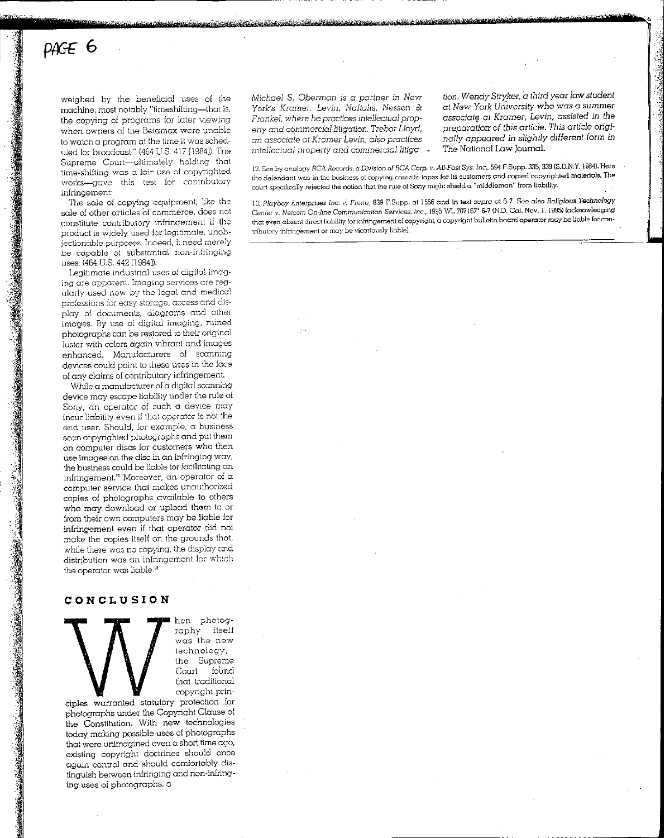## PAGE 6

::.~

 $\cdot$ 

weighed by the beneficial uses of the machine, most notably "timeshifting-that is, the copying of programs for later viewing when owners of the Betamax were unable to watch a program at the time it was scheduled for broadcast." (464 U.S. 417 [1984]). The Supreme Court-ultimately holding that time-shifting was a fair use of copyrighted works-gave this test for contributory infringement:

The sale of copying equipment, like the sale of other articles of commerce, does not constitute contributory infringement if the product is widely used for legitimate, unobjectionable purposes. Indeed, it need merely be capable of substantial non-infringing uses. (464 U.S. 442 [1984]).

Legitimate industrial uses of digital imaging ore apparent. Imaging services are regularly used now by the legal and medical professions for easy storage, access end display of documents, diagrams and other images. By use of digital imaging, ruined photographs can be restored to their original luster with colors again vibrant and images enhanced. Manufacturers of scanning devices could point to these uses in the face of any claims of contributory infringement.

While a manufacturer of a digital scanning device may escape liability under the rule of Sony, an operator of such a device may incur liability even if that operator is not the end user. Should, for example, a business scan copyrighted photographs and put them on computer discs for customers who then use images on the disc in an infringing way, the business could be liable for facilitating an infringement.<sup>12</sup> Moreover, an operator of  $\alpha$ computer service that makes unauthorized copies of photographs available to others who may download or upload them to or from their own computers may be liable for infringement even if that operator did not make the copies itself on the grounds that, while there was no copying, the display and distribution was an infringement for which the operator was licble."

### CONCLUSION

hen photography itself was the new technology, the Supreme Court found that traditional copyright prin-

ciples warranted statutory protection for photographs under the Copyright Clause of the Constitution. With new technologies today making possible uses of photographs that were unimagined even  $\alpha$  short time ago, existing copyright doctrines should once again control and should comfortably distinguish between infringing and non-inlnncing uses of photographs. o

*Michael* S. *Oberman is* a *partner* in *New* York's Kramer, Levin, *Naftalis,* Nessen & *Frankel,* where *he practices intellectual property and cQmmerciallitigation.* Trebor *Lloyd, an* associate *at Kramer* Levin, also practices *intellectual* property *and commerctai tniqa-.*

ة الماري**ق مناخصة كالحضاء من المنا**في

" •.'

*tion. Wendy Stryker,* a*third yearlaw* student *at* New *York University who* was a summer associate *at Kramer, Levin,* assisted *in the preparaiion* of *tbis article. This article originally appeared in slightly different* form in The National Law Journal.

12.See by analogy *fiCA* Records. a Division of *RCA* Corp. v. *All-Fasl Sys.Inc..* 594 F.Supp. 335. 339 (S.D.N.Y.1984).Here the defendcnt was in the business of copying ccsseue lopes for its customers and copied copyrighted materials. The court specifically rejected the notion that the rule of Sony might shield a "middleman" from liability.

*13. Playboy* Enlerprises *Inc.* v. *Freno,* 839 F.Supp. at 1556 and in text *supra* at 6-7. See also Religious *Technology Center* v. *Netcom On-line Communication Services. Inc.*, 1995 WL 707167\* 6-7 (N.D. Cal. Nov. 1, 1995) (acknowledging that even absent direct liability for infringement of copyright, a copyright bulletin board operator may be liable for contributory infringement or may be vicariously liable).